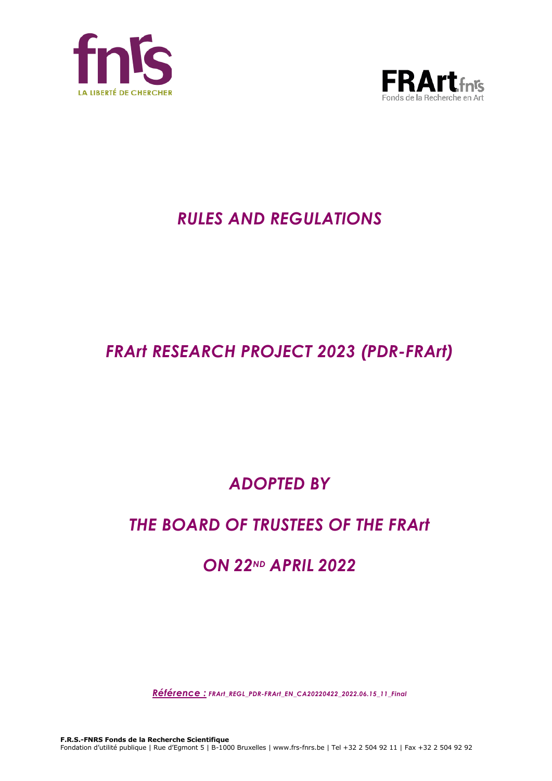



# *RULES AND REGULATIONS*

# *FRArt RESEARCH PROJECT 2023 (PDR-FRArt)*

# *ADOPTED BY*

# *THE BOARD OF TRUSTEES OF THE FRArt*

## *ON 22ND APRIL 2022*

*Référence : FRArt\_REGL\_PDR-FRArt\_EN\_CA20220422\_2022.06.15\_11\_Final*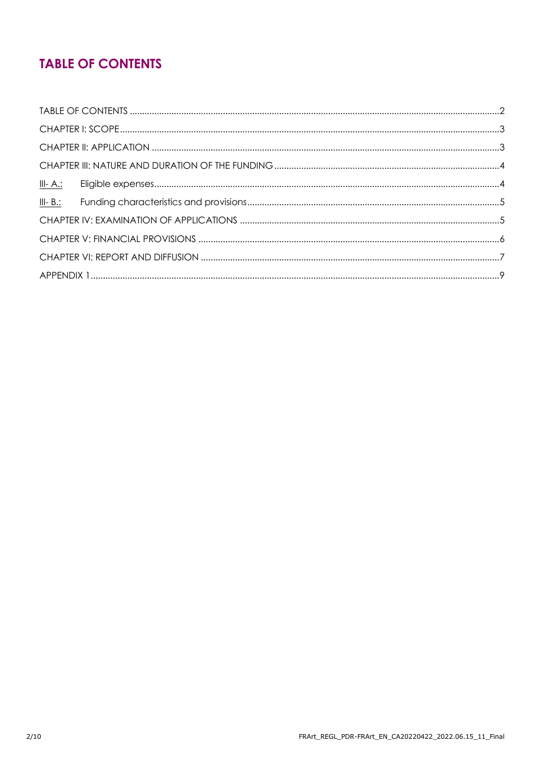## **TABLE OF CONTENTS**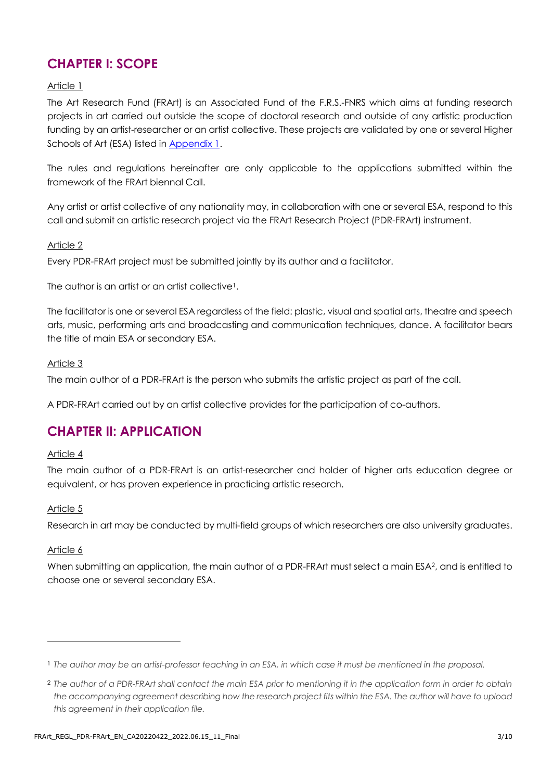## **CHAPTER I: SCOPE**

#### Article 1

The Art Research Fund (FRArt) is an Associated Fund of the F.R.S.-FNRS which aims at funding research projects in art carried out outside the scope of doctoral research and outside of any artistic production funding by an artist-researcher or an artist collective. These projects are validated by one or several Higher Schools of Art (ESA) listed in [Appendix 1.](#page-8-0)

The rules and regulations hereinafter are only applicable to the applications submitted within the framework of the FRArt biennal Call.

Any artist or artist collective of any nationality may, in collaboration with one or several ESA, respond to this call and submit an artistic research project via the FRArt Research Project (PDR-FRArt) instrument.

#### Article 2

Every PDR-FRArt project must be submitted jointly by its author and a facilitator.

The author is an artist or an artist collective<sup>1</sup>.

The facilitator is one or several ESA regardless of the field: plastic, visual and spatial arts, theatre and speech arts, music, performing arts and broadcasting and communication techniques, dance. A facilitator bears the title of main ESA or secondary ESA.

#### Article 3

The main author of a PDR-FRArt is the person who submits the artistic project as part of the call.

A PDR-FRArt carried out by an artist collective provides for the participation of co-authors.

## **CHAPTER II: APPLICATION**

#### Article 4

The main author of a PDR-FRArt is an artist-researcher and holder of higher arts education degree or equivalent, or has proven experience in practicing artistic research.

#### Article 5

Research in art may be conducted by multi-field groups of which researchers are also university graduates.

#### Article 6

When submitting an application, the main author of a PDR-FRArt must select a main ESA<sup>2</sup>, and is entitled to choose one or several secondary ESA.

<sup>1</sup> *The author may be an artist-professor teaching in an ESA, in which case it must be mentioned in the proposal.*

<sup>2</sup> *The author of a PDR-FRArt shall contact the main ESA prior to mentioning it in the application form in order to obtain the accompanying agreement describing how the research project fits within the ESA. The author will have to upload this agreement in their application file.*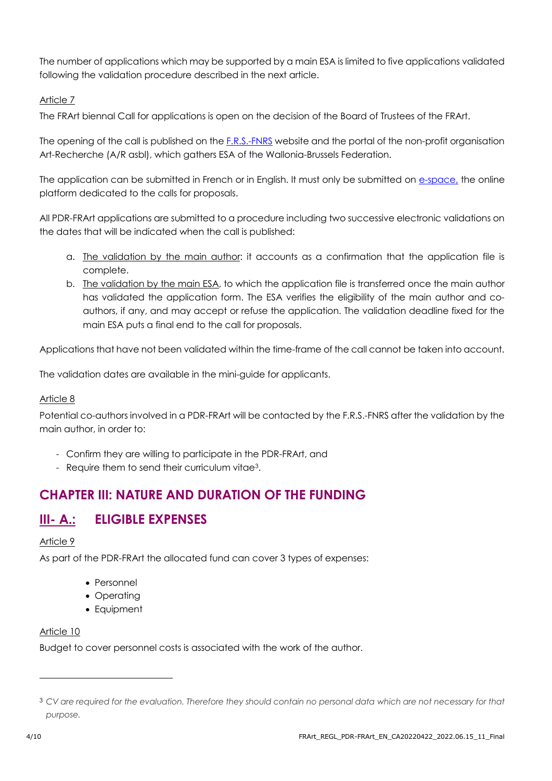The number of applications which may be supported by a main ESA is limited to five applications validated following the validation procedure described in the next article.

#### Article 7

The FRArt biennal Call for applications is open on the decision of the Board of Trustees of the FRArt.

The opening of the call is published on the [F.R.S.-FNRS](https://www.frs-fnrs.be/en/) website and the portal of the non-profit organisation Art-Recherche (A/R asbl), which gathers ESA of the Wallonia-Brussels Federation.

The application can be submitted in French or in English. It must only be submitted on [e-space,](https://e-space.frs-fnrs.be/) the online platform dedicated to the calls for proposals.

All PDR-FRArt applications are submitted to a procedure including two successive electronic validations on the dates that will be indicated when the call is published:

- a. The validation by the main author: it accounts as a confirmation that the application file is complete.
- b. The validation by the main ESA, to which the application file is transferred once the main author has validated the application form. The ESA verifies the eligibility of the main author and coauthors, if any, and may accept or refuse the application. The validation deadline fixed for the main ESA puts a final end to the call for proposals.

Applications that have not been validated within the time-frame of the call cannot be taken into account.

The validation dates are available in the mini-guide for applicants.

#### Article 8

Potential co-authors involved in a PDR-FRArt will be contacted by the F.R.S.-FNRS after the validation by the main author, in order to:

- Confirm they are willing to participate in the PDR-FRArt, and
- Require them to send their curriculum vitae3.

## **CHAPTER III: NATURE AND DURATION OF THE FUNDING**

## **III- A.: ELIGIBLE EXPENSES**

#### Article 9

As part of the PDR-FRArt the allocated fund can cover 3 types of expenses:

- Personnel
- Operating
- Equipment

#### Article 10

Budget to cover personnel costs is associated with the work of the author.

<sup>3</sup> *CV are required for the evaluation. Therefore they should contain no personal data which are not necessary for that purpose.*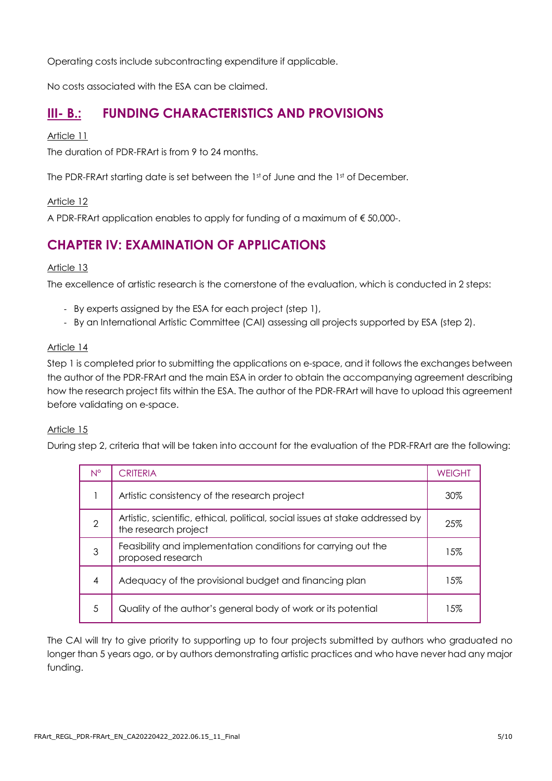Operating costs include subcontracting expenditure if applicable.

No costs associated with the ESA can be claimed.

### **III- B.: FUNDING CHARACTERISTICS AND PROVISIONS**

#### Article 11

The duration of PDR-FRArt is from 9 to 24 months.

The PDR-FRArt starting date is set between the 1st of June and the 1st of December.

#### Article 12

A PDR-FRArt application enables to apply for funding of a maximum of € 50,000-.

## **CHAPTER IV: EXAMINATION OF APPLICATIONS**

#### Article 13

The excellence of artistic research is the cornerstone of the evaluation, which is conducted in 2 steps:

- By experts assigned by the ESA for each project (step 1),
- By an International Artistic Committee (CAI) assessing all projects supported by ESA (step 2).

#### Article 14

Step 1 is completed prior to submitting the applications on e-space, and it follows the exchanges between the author of the PDR-FRArt and the main ESA in order to obtain the accompanying agreement describing how the research project fits within the ESA. The author of the PDR-FRArt will have to upload this agreement before validating on e-space.

#### Article 15

During step 2, criteria that will be taken into account for the evaluation of the PDR-FRArt are the following:

| N°            | CRITERIA                                                                                              | <b>WEIGHT</b> |
|---------------|-------------------------------------------------------------------------------------------------------|---------------|
|               | Artistic consistency of the research project                                                          | 30%           |
| $\mathcal{P}$ | Artistic, scientific, ethical, political, social issues at stake addressed by<br>the research project | 25%           |
| 3             | Feasibility and implementation conditions for carrying out the<br>proposed research                   | 15%           |
| 4             | Adequacy of the provisional budget and financing plan                                                 | 15%           |
| .5            | Quality of the author's general body of work or its potential                                         | 15%           |

The CAI will try to give priority to supporting up to four projects submitted by authors who graduated no longer than 5 years ago, or by authors demonstrating artistic practices and who have never had any major funding.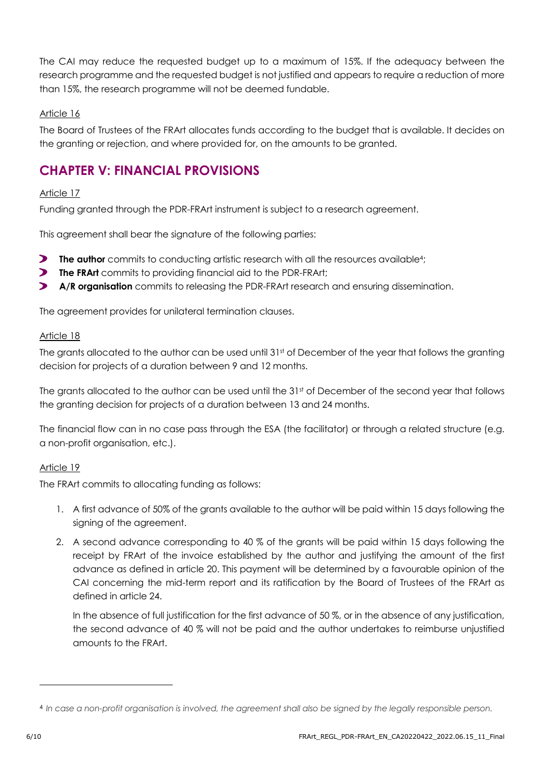The CAI may reduce the requested budget up to a maximum of 15%. If the adequacy between the research programme and the requested budget is not justified and appears to require a reduction of more than 15%, the research programme will not be deemed fundable.

#### Article 16

The Board of Trustees of the FRArt allocates funds according to the budget that is available. It decides on the granting or rejection, and where provided for, on the amounts to be granted.

## **CHAPTER V: FINANCIAL PROVISIONS**

#### Article 17

Funding granted through the PDR-FRArt instrument is subject to a research agreement.

This agreement shall bear the signature of the following parties:

- $\blacktriangleright$ **The author** commits to conducting artistic research with all the resources available<sup>4</sup>;
- **The FRArt** commits to providing financial aid to the PDR-FRArt;
- $\blacktriangleright$ **A/R organisation** commits to releasing the PDR-FRArt research and ensuring dissemination.

The agreement provides for unilateral termination clauses.

#### Article 18

The grants allocated to the author can be used until 31st of December of the year that follows the granting decision for projects of a duration between 9 and 12 months.

The grants allocated to the author can be used until the 31st of December of the second year that follows the granting decision for projects of a duration between 13 and 24 months.

The financial flow can in no case pass through the ESA (the facilitator) or through a related structure (e.g. a non-profit organisation, etc.).

#### Article 19

The FRArt commits to allocating funding as follows:

- 1. A first advance of 50% of the grants available to the author will be paid within 15 days following the signing of the agreement.
- 2. A second advance corresponding to 40 % of the grants will be paid within 15 days following the receipt by FRArt of the invoice established by the author and justifying the amount of the first advance as defined in article 20. This payment will be determined by a favourable opinion of the CAI concerning the mid-term report and its ratification by the Board of Trustees of the FRArt as defined in article 24.

In the absence of full justification for the first advance of 50 %, or in the absence of any justification, the second advance of 40 % will not be paid and the author undertakes to reimburse unjustified amounts to the FRArt.

<sup>&</sup>lt;sup>4</sup> In case a non-profit organisation is involved, the agreement shall also be signed by the legally responsible person.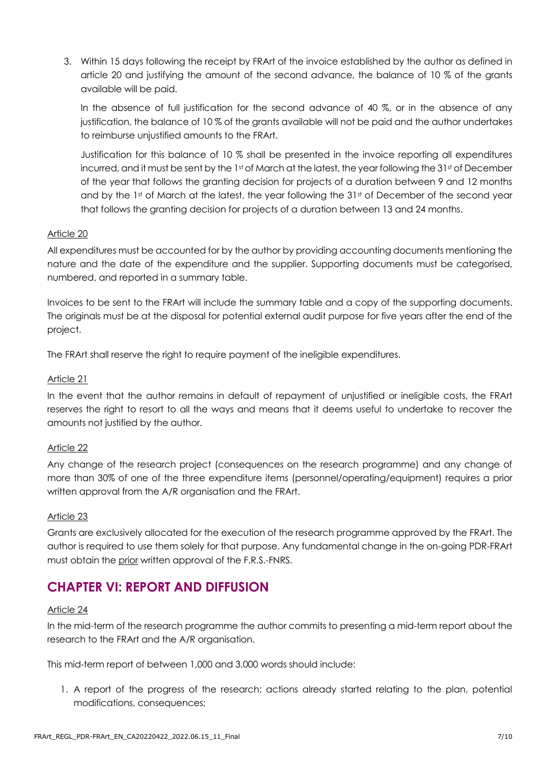3. Within 15 days following the receipt by FRArt of the invoice established by the author as defined in article 20 and justifying the amount of the second advance, the balance of 10 % of the grants available will be paid.

In the absence of full justification for the second advance of 40 %, or in the absence of any justification, the balance of 10 % of the grants available will not be paid and the author undertakes to reimburse unjustified amounts to the FRArt.

Justification for this balance of 10 % shall be presented in the invoice reporting all expenditures incurred, and it must be sent by the 1st of March at the latest, the year following the 31st of December of the year that follows the granting decision for projects of a duration between 9 and 12 months and by the 1st of March at the latest, the year following the 31st of December of the second year that follows the granting decision for projects of a duration between 13 and 24 months.

#### Article 20

All expenditures must be accounted for by the author by providing accounting documents mentioning the nature and the date of the expenditure and the supplier. Supporting documents must be categorised, numbered, and reported in a summary table.

Invoices to be sent to the FRArt will include the summary table and a copy of the supporting documents. The originals must be at the disposal for potential external audit purpose for five years after the end of the project.

The FRArt shall reserve the right to require payment of the ineligible expenditures.

#### Article 21

In the event that the author remains in default of repayment of unjustified or ineligible costs, the FRArt reserves the right to resort to all the ways and means that it deems useful to undertake to recover the amounts not justified by the author.

#### Article 22

Any change of the research project (consequences on the research programme) and any change of more than 30% of one of the three expenditure items (personnel/operating/equipment) requires a prior written approval from the A/R organisation and the FRArt.

#### Article 23

Grants are exclusively allocated for the execution of the research programme approved by the FRArt. The author is required to use them solely for that purpose. Any fundamental change in the on-going PDR-FRArt must obtain the prior written approval of the F.R.S.-FNRS.

## **CHAPTER VI: REPORT AND DIFFUSION**

#### Article 24

In the mid-term of the research programme the author commits to presenting a mid-term report about the research to the FRArt and the A/R organisation.

This mid-term report of between 1,000 and 3,000 words should include:

1. A report of the progress of the research: actions already started relating to the plan, potential modifications, consequences;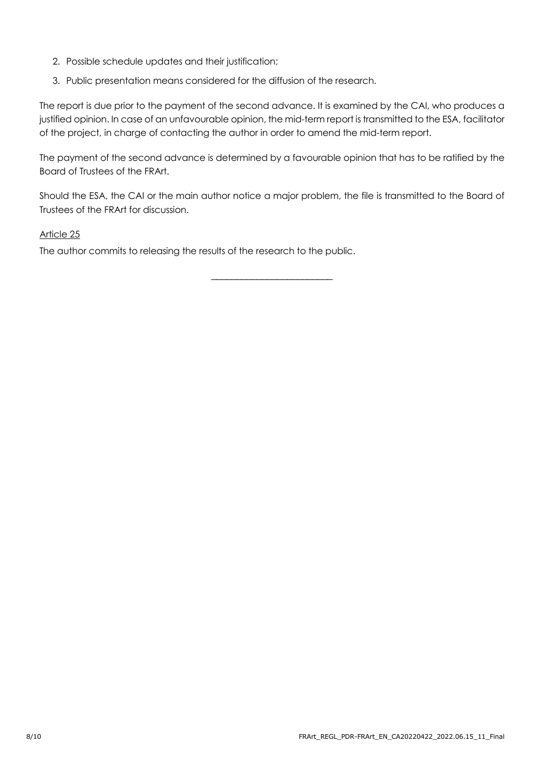- 2. Possible schedule updates and their justification;
- 3. Public presentation means considered for the diffusion of the research.

The report is due prior to the payment of the second advance. It is examined by the CAI, who produces a justified opinion. In case of an unfavourable opinion, the mid-term report is transmitted to the ESA, facilitator of the project, in charge of contacting the author in order to amend the mid-term report.

The payment of the second advance is determined by a favourable opinion that has to be ratified by the Board of Trustees of the FRArt.

Should the ESA, the CAI or the main author notice a major problem, the file is transmitted to the Board of Trustees of the FRArt for discussion.

\_\_\_\_\_\_\_\_\_\_\_\_\_\_\_\_\_\_\_\_\_\_\_\_

#### Article 25

The author commits to releasing the results of the research to the public.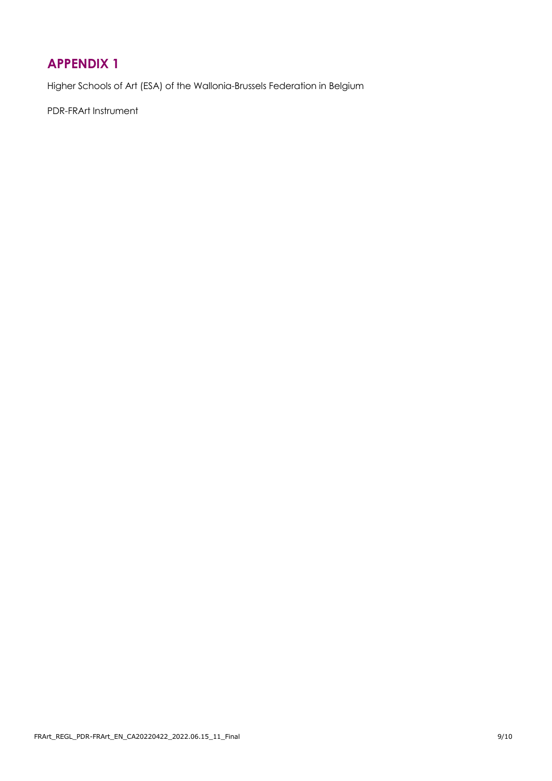## <span id="page-8-0"></span>**APPENDIX 1**

Higher Schools of Art (ESA) of the Wallonia-Brussels Federation in Belgium

PDR-FRArt Instrument